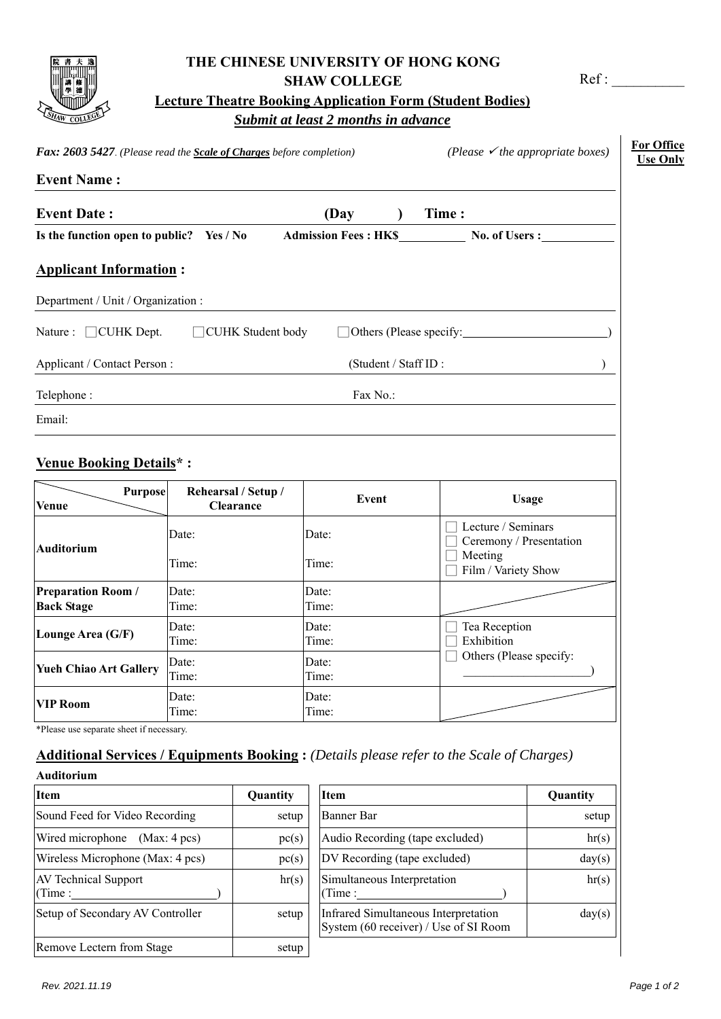| Ls <sub>HAW</sub><br>$\mathbf c$ |  |
|----------------------------------|--|

## **THE CHINESE UNIVERSITY OF HONG KONG SHAW COLLEGE**

Ref:

| <b>Lecture Theatre Booking Application Form (Student Bodies)</b> |
|------------------------------------------------------------------|
| Submit at least 2 months in advance                              |

| Fax: 2603 5427. (Please read the Scale of Charges before completion) |                                  |                                      | (Please $\checkmark$ the appropriate boxes)   |
|----------------------------------------------------------------------|----------------------------------|--------------------------------------|-----------------------------------------------|
| <b>Event Name:</b>                                                   |                                  |                                      |                                               |
| <b>Event Date:</b>                                                   |                                  | (Day                                 | Time:                                         |
| Is the function open to public? Yes / No                             |                                  |                                      |                                               |
| <b>Applicant Information:</b>                                        |                                  |                                      |                                               |
| Department / Unit / Organization :                                   |                                  |                                      |                                               |
| Nature : $\Box$ CUHK Dept.                                           | □ CUHK Student body              |                                      | $\Box$ Others (Please specify:                |
| Applicant / Contact Person:                                          |                                  | (Student / Staff ID:                 |                                               |
| Telephone:                                                           |                                  | Fax No.:                             |                                               |
| Email:                                                               |                                  |                                      |                                               |
| <b>Venue Booking Details*:</b>                                       |                                  |                                      |                                               |
| <b>Purpose</b><br><b>Venue</b>                                       | Rehearsal / Setup /<br>Clearance | Event                                | <b>Usage</b>                                  |
| <b>Auditorium</b>                                                    | Date:                            | Date:                                | Lecture / Seminars<br>Ceremony / Presentation |
|                                                                      | Time:                            | Time:                                | Meeting<br>Film / Variety Show                |
| <b>Preparation Room /</b><br><b>Back Stage</b>                       | Date:<br>Time:                   | Date:<br>Time:                       |                                               |
| Lounge Area (G/F)                                                    | Date:<br>$T^*$                   | Date:<br>$\mathbf{T}$ : $\mathbf{I}$ | Tea Reception<br>Π DILL IL III LE             |

**VIP Room Date:** Time:

\*Please use separate sheet if necessary.

**Yueh Chiao Art Gallery** Date:

## **Additional Services / Equipments Booking :** *(Details please refer to the Scale of Charges)*

Time:

Date: Time:

Date: Time:

## **Auditorium**

| <u> 11 Augustia 14</u>                |          |                                                                              |
|---------------------------------------|----------|------------------------------------------------------------------------------|
| <b>Item</b>                           | Quantity | <b>Item</b>                                                                  |
| Sound Feed for Video Recording        | setup    | Banner Bar                                                                   |
| Wired microphone (Max: 4 pcs)         | pc(s)    | Audio Recording (tape excluded)                                              |
| Wireless Microphone (Max: 4 pcs)      | pc(s)    | DV Recording (tape excluded)                                                 |
| <b>AV Technical Support</b><br>(Time: | hr(s)    | Simultaneous Interpretation<br>(Time:                                        |
| Setup of Secondary AV Controller      | setup    | Infrared Simultaneous Interpretation<br>System (60 receiver) / Use of SI Roo |
| Remove Lectern from Stage             | setup    |                                                                              |
|                                       |          |                                                                              |

Time:

Time:

| Auditorium                            |          |                                                                               |          |
|---------------------------------------|----------|-------------------------------------------------------------------------------|----------|
| Item                                  | Quantity | <b>Item</b>                                                                   | Quantity |
| Sound Feed for Video Recording        | setup    | Banner Bar                                                                    | setup    |
| Wired microphone<br>(Max: 4 pcs)      | pc(s)    | Audio Recording (tape excluded)                                               | hr(s)    |
| Wireless Microphone (Max: 4 pcs)      | pc(s)    | DV Recording (tape excluded)                                                  | day(s)   |
| <b>AV Technical Support</b><br>(Time: | hr(s)    | Simultaneous Interpretation<br>(Time:                                         | hr(s)    |
| Setup of Secondary AV Controller      | setup    | Infrared Simultaneous Interpretation<br>System (60 receiver) / Use of SI Room | day(s)   |
| Domovia Lootam fuam Ctoop             | 0.01     |                                                                               |          |

□ Exhibition

□ Others (Please specify: